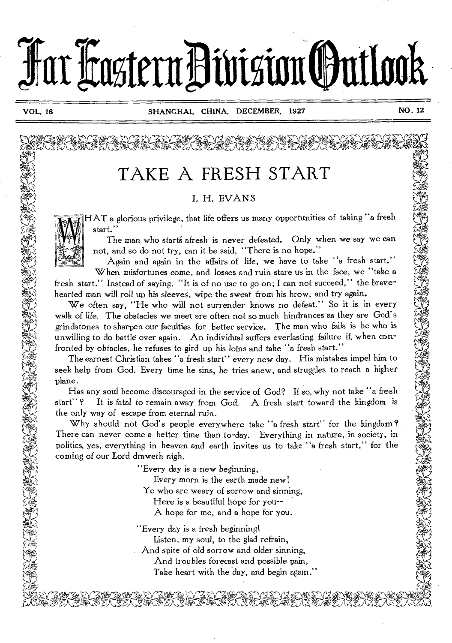

# TAKE A FRESH START

### I. H. EVANS

HAT a glorious privilege, that life offers us many opportunities of taking "a fresh start."

The man who starts afresh is never defeated. Only when we say we can not, and so do not try, can it be said, "There is no hope."

Again and again in the affairs of life, we have to take "a fresh start." When misfortunes come, and losses and ruin stare us in the face, we "take a fresh start." Instead of saying, "It is of no use to go on; I can not succeed," the bravehearted man will roll up his sleeves, wipe the sweat from his brow, and try again.

We often say, "He who will not surrender knows no defeat." So it is in every walk of life. The obstacles we meet are often not so much hindrances as they are God's grindstones to sharpen our faculties for better service. The man who fails is he who is unwilling to do battle over again. An individual suffers everlasting failure if, when confronted by obtacles, he refuses to gird up his loins and take "a fresh start."

The earnest Christian takes "a fresh start" every new day. His mistakes impel him to seek help from God. Every time he sins, he tries anew, and struggles to reach a higher plane.

Has any soul become discouraged in the service of God? If so, why not take "a fresh start"? It is fatal to remain away from God. A fresh start toward the kingdom is the only way of escape from eternal ruin.

Why should not God's people everywhere take "a fresh start" for the kingdom? There can never come a better time than to-day. Everything in nature, in society, in politics, yes, everything in heaven and earth invites us to take "a fresh start," for the coming of our Lord draweth nigh.

"Every day is a new beginning,

Every morn is the earth made new!

Ye who are weary of sorrow and sinning,

- Here is a beautiful hope for you--
- A hope for me, and a hope for you.
- "Every day is a fresh beginning!
	- Listen, my soul, to the glad refrain,

And spite of old sorrow and older sinning,

And troubles forecast and possible pain,

Take heart with the day, and begin again."  $\begin{picture}(120,140)(0,0) \put(0,0){\vector(1,0){100}} \put(0,0){\vector(1,0){100}} \put(0,0){\vector(1,0){100}} \put(0,0){\vector(1,0){100}} \put(0,0){\vector(1,0){100}} \put(0,0){\vector(1,0){100}} \put(0,0){\vector(1,0){100}} \put(0,0){\vector(1,0){100}} \put(0,0){\vector(1,0){100}} \put(0,0){\vector(1,0){100}} \put(0,0){\vector(1,0){100}} \put(0,0$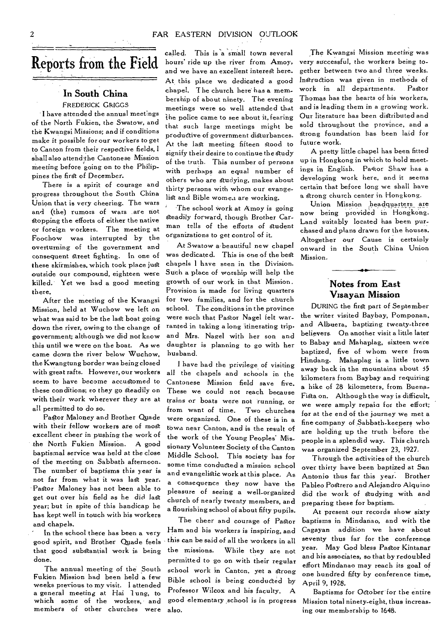## Reports from the Field

### **In South China**

FREDERICK GRIGGS I have attended the annual meetings of the North Fukien, the Swatow, and the Kwangsi Missions; and if conditions make it possible for our workers to get to Canton from their respedive fields, I shall also attend the Cantonese Mission meeting before going on to the Philippines the first of December.

There is a spirit of courage and progress throughout the South China Union that is very cheering. The wars and (the) rumors of wars are not Stopping the efforts of either the native or foreign workers. The meeting at Foochow was interrupted by the overturning of the government and consequent Street fighting. In one of these skirmishes, which took place just outside our compound, eighteen were killed. Yet we had a good meeting there.

After the meeting of the Kwangsi Mission, held at Wuchow we left on what was said to be the last boat going down the river, owing to the change of government; although we did not know this until we were on the boat. As we came down the river below Wuchow, the Kwangtung border was being closed with great rafts. However, our workers seem to have become accustomed to these conditions; so they go Steadily on with their work wherever they are at all permitted to do so.

PaStor Maloney and Brother Quade with their fellow workers are of most excellent cheer in pushing the work of the North Fukien Mission. A good baptismal service was held at the close of the meeting on Sabbath afternoon. The number of baptisms this year is not far from what it was last year. Pastor Maloney has not been able to get out over his field as he did last year; but in spite of this handicap he has kept well in touch with his workers and chapels.

In the school there has been a very good spirit, and Brother Quade feels that good substantial work is being done.

The annual meeting of the South Fukien Mission had been held a few weeks previous to my visit. I attended a general meeting at Hai 1 ung, to which some of the workers, and members of other churches were called. This is a small town several hours' ride up the river from Amoy, and we have an excellent interest here. At this place we dedicated a good chapel. The church here has a membership of about ninety. The evening meetings were so well attended that the police came to see about it, fearing that such large meetings might be productive of government disturbances. At the last meeting fifteen stood to signify their desire to continue the study of the truth. This number of persons with perhaps an equal number of others who are studying, makes about thirty persons with whom our evangelist and Bible women are working.

The school work at Amoy is going steadily forward, though Brother Carman tells of the efforts of student organizations to get control of it.

At Swatow a-beautiful new chapel was dedicated. This is one of the bed chapels I have seen in the Division. Such a place of worship will help the growth of our work in that Mission. Provision is made for living quarters for two families, and for the church school. The conditions in the province were such that Pastor Nagel felt warranted in taking a long itinerating trip, and Mrs. Nagel with her son and daughter is planning to go with her husband.

I have had the privilege of visiting all the chapels and schools in the Cantonese Mission field save five. These we could not reach because trains or boats were not running, or from want of time. Two churches were organized. One of these is in a town near Canton, and is the result of the work of the Young Peoples' Missionary Volunteer Society of the Canton Middle School. This society has for some time conducted a mission school and evangelistic work at this place. As a consequence they now have the pleasure of seeing a well-organized church of nearly twenty members, and a flourishing school of about fifty pupils.

The cheer and courage of Pastor Ham and his workers is inspiring, and this can be said of all the workers in all the missions. While they are not permitted to go on with their regular school work in Canton, yet a Strong Bible school is being conducted by Professor Wilcox and his faculty. A good elementary school is in progress also.

The Kwangsi Mission meeting was very successful, the workers being together between two and three weeks. Instruction was given in methods of work in all departments. Pastor Thomas has the hearts of his workers, and is leading them in a growing work. Our literature has been distributed and sold throughout the province, and a Strong foundation has been laid for future work.

A pretty little chapel has been fitted up in Hongkong in which to hold meetings in English. Pastor Shaw has a developing work here, and it seems certain that before long we shall have a Strong church center in Hongkong.

Union Mission headquarters are now being provided in Hongkong. Land suitably located has been purchased and plans drawn for the houses. Altogether our Cause is certainly onward in the South China Union Mission.

### **Notes from East Visayan Mission**

DURING the first part of September the writer visited Baybay, Pomponan, and Albeera, baptizing twenty-three believers. On another visit a little later to Babay and Mahaplag, sixteen were baptized, five of whom were from Hindang. Mahaplag is a little town away back in the mountains about 35 kilometers from Baybay and requiring a hike of 28 kilometers, from Buena-Fista on. Although the way is difficult, we were amply repaid for the effort; for at the end of the journey we met a fine company of Sabbath-keepers who are holding up the truth before the people in a splendid way. This church was organized September 23, 1927.

Through the activities of the church over thirty have been baptized at San Antonio thus far this year. Brother Pableo Podrero and Alejandro Alquino did the work of Studying with and preparing these for baptism.

At present our records show sixty baptisms in Mindanao, and with the Cagayan addition we have about seventy thus far for the conference year. May God bless Pastor Kintanar and his associates, so that by redoubled effort Mindanao may reach its goal of one hundred fifty by conference time, April 9, 1928.

Baptisms for Odober 'for the entire Mission total ninety-eight, thus increasing our membership to 1648.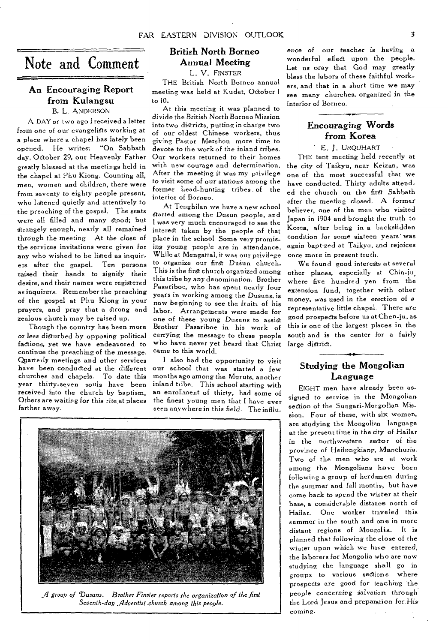## Note and Comment

### An Encouraging Report from Kulangsu B. L. ANDERSON

A DAY or two ago I received a letter from one of our evangelists working at a place where a chapel has lately been opened. He writes: "On Sabbath day, October 29, our Heavenly Father greatly blessed at the meetings held in the chapel at Phu Kiong. Counting all, men, women and children, there were from seventy to eighty people present, who listened quietly and attentively to the preaching of the gospel. The seats were all filled and many stood; but strangely enough, nearly all remained through the meeting *At* the close of the services invitations were given for any who wished to be listed as inquirers after the gospel. Ten persons raised their hands to signify their desire, and their names were registered as inquirers. Remember the preaching of the gospel at Phu Kiong in your prayers, and pray that a strong and zealous church may be raised up.

Though the country has been more or *less* disturbed by opposing political factions, yet we have endeavored to continue the preaching of the message. Quarterly meetings and other services have been conducted at the different churches and chapels. To date this year thirty-seven souls have been received into the church by baptism. Others *are waiting for this rite*, at places farther away.

### British North Borneo Annual Meeting

L. V. F1NSTER

THE British North Borneo annual meeting was held at Kudat, October to 10.

At this meeting it was planned to *divide* the British North Borneo Mission into two districts, putting in charge two of our oldest Chinese workers, thus giving Pastor Mershon more time to devote to the work of the *inland* tribes. Our workers returned to their homes with new courage and determination. After the meeting it was my privilege to visit some of our *stations* among the former head-hunting tribes of the interior of Borneo.

At Tenghilan we have a new school started among the Dusun people, and I was very much encouraged to see the interest taken by the people of that place in the school Some very promising young people are in attendance. While at Mengattal, it was our privilege to organize our first Dusun church. This is the first church organized among this tribe by any denomination. Brother Pasariboe, who has spent nearly four years in working among the Dusuns, is now beginning to see the fruits of his labor. Arrangements were made for one of these young Dusuns to assist Brother Pasariboe in his work of carrying the message to these people who have never yet heard that Christ came to this world.

I also had the opportunity to visit our school that was started a few months ago among the Muruts, another inland tribe. This school starting with an enrollment of thirty, had some of the finest young men that I have ever seen anywhere in this field. The infllu



*fl group of Dusuns. Brother Fussier reports the organization of the first Seventh-day Adventist church among this people.* 

ence of our teacher is having a wonderful effect upon the people. Let us pray that God may greatly bless the labors of these faithful workers, and that in a short time we may see many churches. organized in the interior of Borneo.

### Encouraging Words *from* Korea

E. J. URQUHART

THE tent meeting held recently at the city of Taikyu, near Keizan, was one of the most successful that we have conducted. Thirty adults attended the church on the first Sabbath after the *meeting* closed. A *former*  believer, one of the men who visited Japan in 1904 and brought the truth to Korea, after being in a backslidden condition for some sixteen years' was again bapt•zed at Taikyu, and rejoices once more in present truth.

We found good interests at several other places, especially at Chin-ju, where five hundred yen from the extension fund, together with other money, was *used* in the erection of a representative little chapel. There are good prospects before us at Chen-ju, as this is one of the largest places in the south and is the center for a fairly large district.

### Studying the Mongolian Language

EIGHT men have already been assigned to service in the Mongolian section of the Sungari-Mongolian Mission. Four of these, with six women, are studying the Mongolian language at the present time in the city of Hailar in the northwestern sector of the province of Heilungkiang, Manchuria. Two of the men who are at work among the Mongolians have been following a group of herdsmen during the summer and fall months, but have come back to spend the winter at their base, a considerable distance north of Hailar. One worker traveled this summer in the south and one in more distant regions of Mongolia. It is planned that following the close of the winter upon which we have entered, the laborers for Mongolia who are now studying the language shall go in groups to various sections where prospects are good for teaching the, people concerning salvation through the Lord Jesus and preparation for *His*  coming.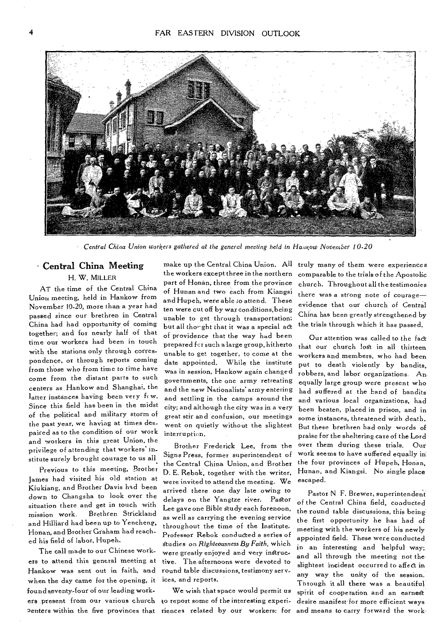

Central China Union workers gathered at the general meeting *held* in Hanlon) *November 10-20* 

### • Central China Meeting H. W. MILLER

AT the time of the Central China Union meeting, held in Hankow from November 10-20, more than a year had passed since our brethren in Central China had had opportunity of coming together; and for nearly half of that time our workers had been in touch with the stations only through correspondence, or through reports coming from those who from time to time have come from the distant parts to such centers as Hankow and Shanghai, the latter instances having been very few. Since this field has been in the midst of the political and military storm of the past year, we having at times despaired as to the condition of our work and workers in this great Union, the privilege of attending that workers' institute surely brought courage to us all.

Previous to this meeting, Brother James had visited his old station at Kiukiang, and Brother Davis had been down to Changsha to look over the situation there and get in touch with mission work. Brethren Strickland and Hilliard had been up to Yencheng, Honan, and Brother Graham had reached his field of labor, Hupeh.

The call made to our Chinese workers to attend this general meeting at Hankow was sent out in faith, and when the day came for the opening, it found seventy-four of our leading workers present from our various church Penters within the five provinces that riences related by our workers: for and means to carry forward the work-

make up the Central China Union. All the workers except three in the northern part of Honan, three from the province of Hunan and two each from Kiangsi and Hupeh, were able to attend. These ten were cut off by war conditions,being unable to get through transportation; but all tho<sup>•</sup>ght that it was a special act of providence that the way had been prepared for such a large group, hitherto unable to get together, to come at the date appointed. While the institute was in session, Hankow again changed governments, the one army retreating and the new Nationalists' army entering and settling in the camps around the city; and although the city was in a very great stir and confusion, our meetings went on quietly without the slightest interruption.

Brother Frederick Lee, from the Signs Press, former superintendent of the Central China Union, and Brother D. E. Rebok, together with the writer, were invited to attend the meeting. We arrived there one day late owing to delays on the Yangtze river. Pastor Lee gave one Bible study each forenoon, as well as carrying the evening service throughout the time of the Institute. Professor Rebok conducted a series of Studies on *Righteousness By Faith,* which were greatly enjoyed and very instructive. The afternoons were devoted to round table discussions, testimony serv*ices,* and reports.

We wish that space would permit us to report some of the interesting experitruly many of them were experiences comparable to the trials of the Apostolic church. Throughout all the testimonies there was a strong note of courage evidence that our church of Central China has been greatly strengthened by the trials through which it has passed.

Our attention was called to the fadt that our church lost in all thirteen workers and members, who had been put to death violently by bandits, robbers, and labor organizations. An. equally large group were present who had suffered at the hand of bandits and various local organizations, had been beaten, placed in prison, and in some instances, threatened with death. But these brethren had only words of praise for the sheltering care of the Lord over them during these trials. Our work seems to have suffered equally in the four provinces of Hupeh, Honan, Hunan, and Kiangsi. No single place escaped.

Pastor N F. Brewer, superintendent of the Central China field, conducted the round table discussions, this being the first opportunity he has had of meeting with the workers of his newly appointed field. These were conducted in an interesting and helpful way; and all through the meeting not the slightest incident occurred to affect in any way the unity of the session. Through it all there was a beautiful spirit of cooperation and an earnest desire manifest for more efficient ways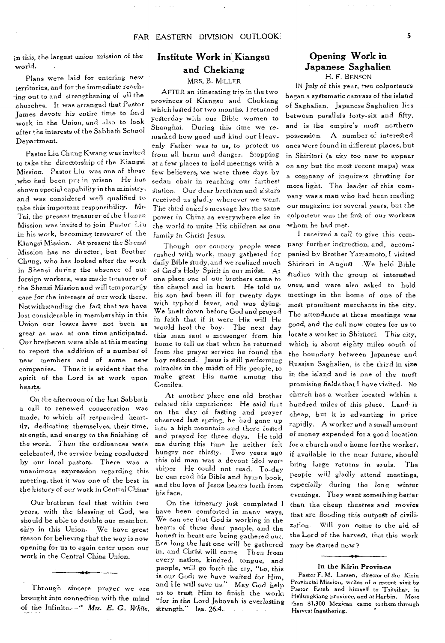in this, the largest *union mission* of the world.

Plans were laid for entering new territories, and for the immediate reaching out to and strengthening of all the churches. It was arranged that Pastor James devote his entire time to field work in the Union, and also to look after the interests of the Sabbath School Department.

Pastor Liu Chung Kwang was invited to take the directorship of the Kiangsi *Mission.* Pastor Liu was one of those who had been put in prison He has shown special capability in the ministry, and was considered well qualified to take this important responsibility. Mr. Tai, the present treasurer of the Hunan Mission was invited to join Pastor Liu in his work, becoming treasurer of the Kiangsi Mission. At present the Shensi Mission has no director, but Brother Ch'ing, who has looked after the work in Shensi during the absence of our foreign workers, was made treasurer of the Shensi Mission and will temporarily care for the interests of our work there. Notwithstanding the fact that we have lost considerable in membership in this Union our losses have not been as great as was at one time anticipated. Our bretheren were able at this meeting to report the addition of a number *of*  new members and of some new companies. Thus it is evident that the spirit of the Lord is at work upon hearts.

On the afternoon of the last Sabbath a call to renewed consecration was made, to which all responded heartily, dedicating themselves, their time, strength, and energy to the finishing of the work. Then the ordinances were celebrated, the service being conducted by our local pastors. There was a unanimous expression regarding this meeting, that it was one of the best in the *history of* our work in Central China.

Our brethren feel that within two years, with the blessing of God, we should be able to double our membership in this Union. We have great reason for believing that the way is now opening for us to again enter upon our -work in the Central China Union.

Through sincere prayer we are brought into connection with the mind of the Infinite.—" *Mrs. E. G. White.* 

### Institute Work in'Kiangsu and Chekiang

MRS. B. MILLER

AFTER an itinerating trip in the two provinces of Kiangsu and Chekiang which lasted for two months, I returned yesterday with our Bible women to Shanghai. During this time we remarked how good and kind our Heavenly Father was to us, to protect us from all harm and danger. Stopping at a few places to hold meetings with a few believers, we were three days by sedan chair in reaching our farthest station. Our dear brethren and sisters received us gladly wherever we went. The third angel's message has the same power in China as everywhere else in the world to unite His children as one family in Christ *Jesus.* 

Though our country people were rushed with work, many gathered for daily Bible study, and we realized much of God's Holy *Spirit* in our midst. At one place one of our brothers came to the chapel sad in heart. He told us his son had been ill for twenty days with typhoid fever, and was dying. We knelt down before God and prayed in faith that if it were His will He would heal the boy. The next day this man sent a messenger from his home to tell us that when he returned from the prayer service he found the boy restored: Jesus is still performing miracles in the midst of His people, to make great His name among the Gentiles.

At another place one old brother related this experience: He said that on the day of fasting and prayer observed last spring, he had gone up into a high mountain and there fasted and prayed for three days. He told me during this time he neither felt hungry nor thirsty. Two years ago this old man was a devout idol worshiper He could not read. To-day he can read his Bible and hymn book, and the love of Jesus beams forth from his face.

On the itinerary just completed I have been comforted in many ways. We can see that God *is* working in the hearts of these dear people, and the honest in heart are being gathered out. Ere *long* the last one will be gathered in, and Christ will come Then *from*  every nation, kindred, tongue, and people, will go forth the cry, "Lo, this is our God; we have waited for Him, and He will save us." May God help us to trust Him to finish the work; "for *in* the Lord Jehovah is everlasting Strength." Isa. 26:4.\_ . -

### Opening Work in Japanese Saghalien H. F. BENSON

IN July *of this* year, two colporteurs began a systematic canvass of the island of Saghalien. Japanese Saghalien lies between parallels forty-six and fifty, and is the empire's most northern possession. A number of interested ones were found in different places, but in Shiritori (a city too new to appear on any but the most recent maps) was a company of *inquirers* thirsting for more light. The leader of this company was a man who had been reading our magazine for several years, but the colporteur was the first of our workers whom he had met.

I received a call to give this company further instruction, and, accompanied by Brother Yamamoto, I *visited*  Shiritori in August. We held Bible studies with the group of interested ones, and were also asked to hold meetings in the home of one of the most prominent merchants in the city. The attendance at these meetings was good, and the call now comes for us to locate a worker in Shiritori. This city, which is about eighty miles south of the boundary between Japanese and Russian Saghalien, is the third in size in the island and is one of the most promising fields that I have visited. No church has a worker located within a hundred miles of this place. Land is cheap, but it *is advancing* in price rapidly. A worker and a small amount of money expended for a good location for a church and a home for the worker, if available in the near future, should bring large returns in souls. The people will gladly attend meetings, especially during the long winter evenings. They want something better than the cheap theatres and movies that are flooding this outpost of civilization. Will you come to the aid of the Lord of the harvest, that this work may be started now?

### • In the Kirin Province

Pastor *F.* M. Larsen, director of the Kirin Provincial Mission, writes of a recent visit by Pastor Esteb and himself to Tsitsihar, in Heilungkiang province, *and* at Harbin. More than \$1,300 Mexican came to them through Harvest Ingathering.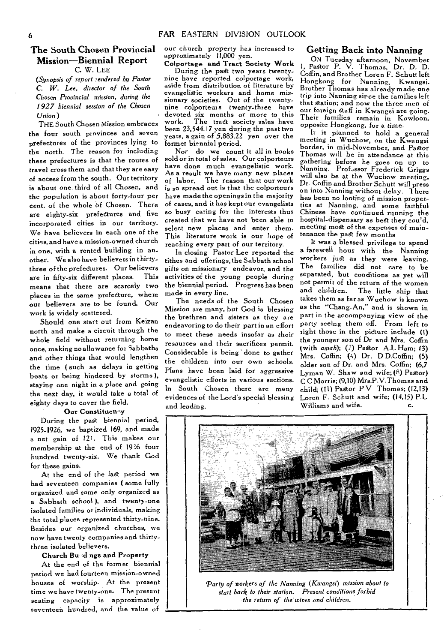### **The South Chosen Provincial Mission—Biennial Report C.** W. LEE

*(Synopsis of report Tendered by Pastor C. W. Lee, director of the South Chosen* Provincial mission, *during the 1927 biennial session of the Chosen Union)* 

THE South Chosen Mission embraces the four south provinces and seven prefectures of the provinces lying to the north. The reason for including these prefectures is that the routes of travel cross them and that they are easy of access from the south. Our territory is about one third of all Chosen, and the population is about forty-four per cent, of the whole of Chosen. There are eighty-six prefectures and five incorporated cities in our territory. We have believers in each one of the cities, and have a mission-owned church in one, with a rented building in another. We also have believers in thirty. three of the prefectures. Our believers are in fifty-six different places. This means that there are scarcely two places in the same prefecture, where our believers are to be found. Our work is widely scattered.

Should one start out from Keizan north and make a circuit through the whole field without returning home once, making no allowance for Sabbaths and other things that would lengthen the time ( such as delays in getting boats or being hindered by storms ), staying one night in a place and going the next day, it would take a total of eighty days to cover the field.

#### **Our Constitueney**

During the past biennial period, 1925-1926, we baptized 169, and made a net gain of 121. This makes our membership at the end of 1926 four hundred twenty-six. We thank God for these gains.

At the end of the last period we had seventeen companies ( some fully organized and some only organized as a Sabbath school ), and twenty-one isolated families or individuals, making the total places represented thirty-nine. Besides our organized churches, we now have twenty companies and thirtythree isolated believers.

#### Church **Bu d** ngs and Property

At the end of the former biennial period we had fourteen mission-owned houses of worship. At the present time we have twenty-one. The present seating capacity is approximately seventeen hundred, and the value of

our church property has increased to approximately 11,000 yen.

Colportage and Tract Society Work During the past two years twentynine have reported colportage work, aside from distribution of literature by evangelistic workers and home missionary societies. Out of the twentynine colporteurs twenty-three have devoted six months or more to this<br>work. The tract society sales have The tract society sales have been 23,544.17 yen during the past two<br>years, a gain of 5,883.22 yen over the former biennial period.

Nor do we count it all in books sold or in total of sales. Our colporteurs have done much evangelistic work. As a result we have many new places of labor. The reason that our work is so spread out is that the colporteurs have made the openings in the majority of cases, and it has kept our evangelists so busy caring for the interests thus created that we have not been able to select new places and enter them. This literature work is our hope of reaching every part of our territory.

In closing Pastor Lee reported the tithes and offerings, the Sabbath school gifts on missionary endeavor, and the activities of the young people during the biennial period. Progress has been made in every line.

The needs of the South Chosen Mission are many, but God is blessing the brethren and sisters as they are endeavoring to do their part in an effort to meet these needs insofar as their resources and their sacrifices permit. Considerable is being ' done to gather the children into our own schools. Plans have been laid for aggressive evangelistic efforts in various sections. In South Chosen there are many evidences of the Lord's special blessing and leading.

#### **Getting Back into Nanning**

ON Tuesday afternoon, November 1, Pastor P. V. Thomas, Dr. D. D. Coffin, and Brother Loren F. Schutt left Hongkong for Nanning, Kwangsi. Brother Thomas has already made one trip into Nanning sirce the families left that station; and now the three men of our foreign staff in Kwangsi are going. Their families remain in Kowloon, opposite Hongkong. for a time.

It is planned to hold a general meeting in Wuchow, on the Kwangsi border, in mid-November, and Pastor Thomas will be *in* attendance at this gathering before he goes on up to<br>Nanning. Professor Frederick Griggs will also be at the Wuchow meeting. **Dr.** Coffin and Brother Schutt will press on into Nanning without delay. There has been no looting of mission properties at Nanning, and some faithful Chinese have continued running the hospital-dispensary as best they could, meeting most of the expenses of maintenance the past few months

It was a blessed privilege to spend a farewell hour with the Nanning workers just as they were leaving. The families did not care to be separated, but conditions as yet will not permit of the return of the women and children. The little ship that takes them as far as Wuchow is known as the "Chang-An," and is shown in part in the accompanying view of the party seeing them off. From left to right those in the picture include (I) the younger son of Dr and Mrs. Coffin (with *amah); (2)* Pastor A.L Ham; 13) Mrs. Coffin; (4) Dr. D D.Coffin; (5) older son of Dr. and Mrs. Coffin; (6,7 Lyman W. Shaw and wife;  $(8)$  Pastor) C C Morris; (9,10) Mrs.P.V.Thomas and child; (11) Pastor  $PV$  Thomas; (12.13) Loren F. Schutt and wife; (14,15) P.L Williams and wife. **c. c.** 



*Party of workers of the Nanning (Kwangsi) mission about to start back to their station. Present conditions forbid the return of the' wives and children.*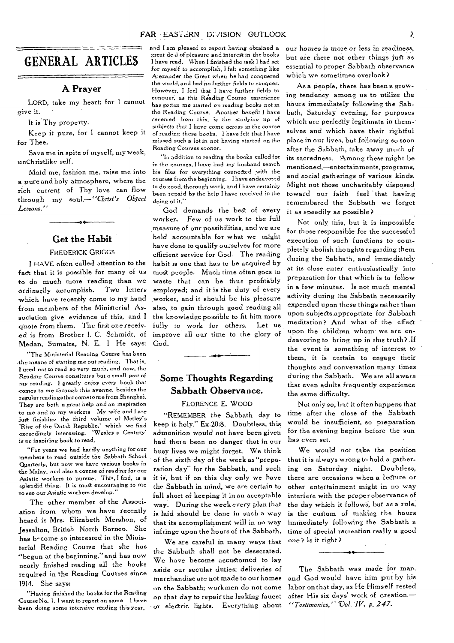### $\overline{z}$

## GENERAL ARTICLES

#### **A Prayer**

LORD, take my heart; for I cannot give it.

It is Thy property.

Keep it pure, for I cannot keep it for Thee.

Save me in spite of myself, my weak, unChristlike self.

Mold me, fashion me, raise me into a pure and holy atmosphere, where the rich current of Thy love can flow through my *soul.—"Christ's Object Lessons.'* 

### **Get the Habit**

### FREDERICK GRIGGS

I HAVE often called attention to the fact that it is possible for many of us to do much more reading than we ordinarily accomplish. Two letters which have recently come to my hand from members of the Ministerial Association give evidence of this, and I quote from them. The first one received is from Brother I. C. Schmidt, of Medan, Sumatra, N. E. I. He says:

"The Ministerial Reading Course has been .the means of starting me out reading. That is, I used not to read *so very* much, and now, the Reading Course constitutes but a small part of my reading. I greatly enjoy every book that comes to me through this avenue, besides the regular readings that cometo me from Shanghai. They are both a great help and an inspiration to me and to my workers My *wife* and I are just finishing the third volume of Motley's 'Rise of the Dutch Republic,' which we find exceedingly interesting. 'Wesley *s* Century' is an *inspiring book* to read.

"For years we had hardly anything for our members to read outside the Sabbath School Quarterly, but now we have various books in the Malay. and also a course of reading for our Asiatic workers to pursue. This, I find, is a splendid thing. It is most encouraging to me to see our Asiatic workers develop.

The other member of the Association from whom we have recently heard is Mrs. Elizabeth Mershon, of Jesselton, British North Borneo. She has b-come so interested in the Ministerial Reading Course that she has "begun at the beginning." and has now nearly finished reading all the books required in the Reading Courses since 1914. *She says:* 

"Having finished the books for the Reading Course No. 1. I want to report on same I have been doing some intensive reading this year,

and I am pleased to report having obtained a great dell of pleasure and interest in the books I have read. When I finished the task I had set for myself to accomplish, I felt something like Alexander the Great *when* he had conquered the world, and had no further fields to conquer. However, 1 feel that I have further fields to conquer, as this Reading Course experience has gotten me started on reading books not in the Reading Course. Another benefit I have received from this, *is* the studying up of subjects that I have come across in the course *of* reading these books, I have felt that I have missed such a lot in not having started on the ReadingCourses *sooner.* 

"In addition to reading the books called for in the courses, I have had my husband search his files for everything connected with the courses from the beginning. I have endeavored to do good, thorough work, and I have certainly been repaid by the help I have received in the doing of it."

God demands the best of every worker. Few of us work to the full measure of our possibilities, and we are held accountable for what we might have done to qualify ourselves for more efficient service for God. The reading habit is one that has to be acquired by most people. Much time often goes to waste that can be thus profitably employed; and it is the duty of every worker, and it should be his pleasure also, to gain through good reading all the knowledge possible to fit him more fully to work for others. Let us improve all our time to the glory of God.

### **Some Thoughts Regarding Sabbath Observance.**

4.•

#### FLORENCE E. WOOD

"REMEMBER the Sabbath day to keep it holy." Ex.20:8. Doubtless, this admonition would not have been given had there been no danger that in our busy lives we might forget. We think of the sixth day of the week as "preparation day" for the Sabbath, and such it is, but if on this day only we have the Sabbath in mind, we are certain to fall short of keeping it in an acceptable way. During the week every plan that is laid should be done in such a way that its accomplishment will in no way infringe upon the hours of the Sabbath.

We are careful in many ways that the Sabbath shall not be desecrated. We have become accustomed to lay aside our secular duties; deliveries of merchandise are not made to our homes on the Sabbath; workmen do not come on that day to repair the leaking faucet or electric lights. Everything about

our homes *is* more or less in readiness, but are there not other things just as essential to proper Sabbath observance which we sometimes overlook?

As a people, there has been a growing tendency among us to utilize the hours immediately following the Sabbath, Saturday evening, for purposes which are perfectly legitimate in themselves and which have their rightful place in our lives, but following so soon after the Sabbath, take away much of its sacredness. Among these might be mentioned,—entertainments, programs, and social gatherings of various kinds. Might not those uncharitably disposed toward our faith feel that having remembered the Sabbath we forget it as speedily as possible?

Not only this, but it is impossible for those responsible for the successful execution *of* such *functions* to completely abolish thoughts regarding them during the Sabbath, and immediately at its close enter enthusiastically into preparation for that which is to follow in a few minutes. Is not much mental activity during the Sabbath necessarily expended upon these things rather than upon subjects appropriate for Sabbath meditation? And what of the effect upon the children whom we are endeavoring to bring up in this truth? If the event is something of interest to them, it is certain to engage their thoughts and conversation many times during the Sabbath. We are all aware that even adults frequently experience the same difficulty.

Not only so, but it often happens that time after the close of the Sabbath would be insufficient, so preparation for the evening begins before the sun has even set.

We would not take the position that it is always wrong to hold a gathering on Saturday night. Doubtless, there are occasions when *a* lecture or other entertainment might in no way interfere with the proper observance of the day which it follows, but as a rule, is the custom of making the hours immediately following the Sabbath a time of special recreation really a good one? Is it right?

The Sabbath was made for man, and God would have him put by his labor on that day, as He Himself rested after His six days' work of creation.— *"Testimonies," Vol. IV, p. 247.*